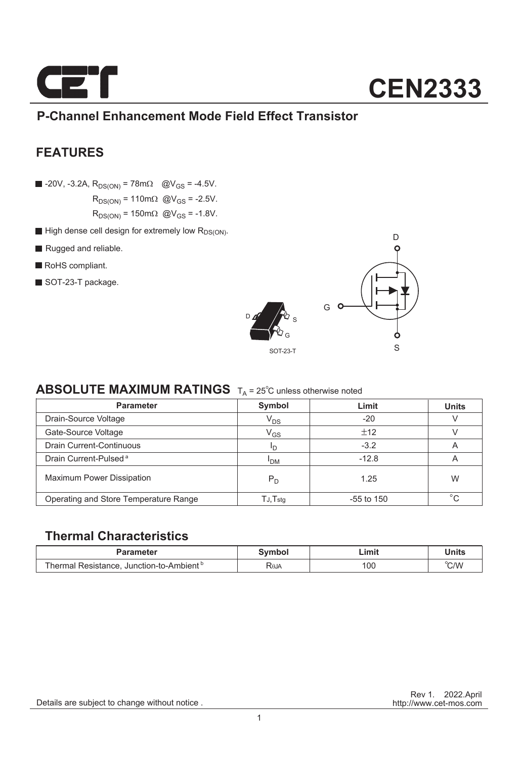

### **P-Channel Enhancement Mode Field Effect Transistor**

### **FEATURES**

 $\blacksquare$  -20V, -3.2A, R<sub>DS(ON)</sub> = 78m $\Omega$  @V<sub>GS</sub> = -4.5V.  $R_{DS(ON)} = 110 \text{m}\Omega$  @V<sub>GS</sub> = -2.5V.

 $R_{DS(ON)} = 150 \text{m}\Omega \text{ @V_{GS} = -1.8V.}$ 

- $\blacksquare$  High dense cell design for extremely low  $R_{DS(ON)}$ .
- Rugged and reliable.
- RoHS compliant.
- SOT-23-T package.





### **ABSOLUTE MAXIMUM RATINGS**  $T_A = 25^\circ \text{C}$  unless otherwise noted

| <b>Parameter</b>                      | Symbol          | Limit        | <b>Units</b>            |  |
|---------------------------------------|-----------------|--------------|-------------------------|--|
| Drain-Source Voltage                  | $V_{DS}$        | $-20$        |                         |  |
| Gate-Source Voltage                   | $\rm V_{GS}$    | ±12          |                         |  |
| <b>Drain Current-Continuous</b>       | חי              | $-3.2$       | A                       |  |
| Drain Current-Pulsed <sup>a</sup>     | <sup>I</sup> DM | $-12.8$      | $\overline{\mathsf{A}}$ |  |
| <b>Maximum Power Dissipation</b>      | $P_{D}$         | 1.25         | W                       |  |
| Operating and Store Temperature Range | TJ,Tstg         | $-55$ to 150 | $\circ$                 |  |

#### **Thermal Characteristics**

| Parameter                                                                          | Svmbol                   | Limit | Units |
|------------------------------------------------------------------------------------|--------------------------|-------|-------|
| <sup>1</sup> Resistance, Junction-to-Ambient <sup>b</sup><br><sup>-</sup> hermal : | <b>R</b> <sub>e</sub> JA | 100   | °C/W  |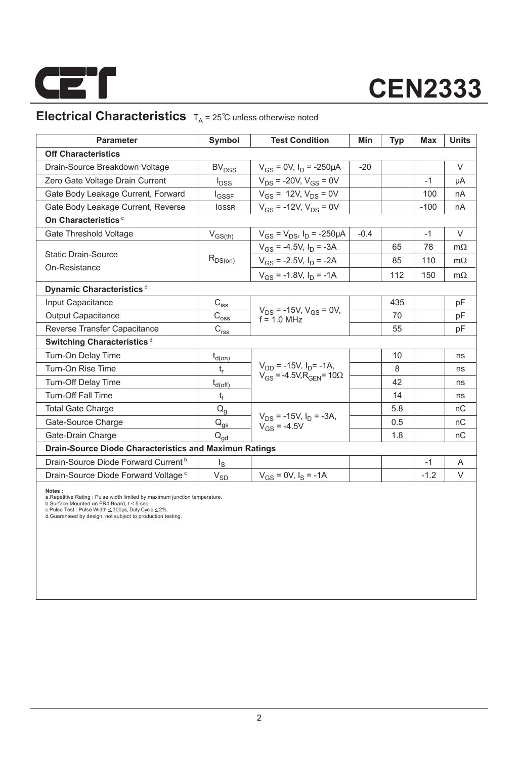

### **Electrical Characteristics**  $T_A = 25^\circ \text{C}$  unless otherwise noted

| <b>Parameter</b>                                              | Symbol                               | <b>Test Condition</b>                             | <b>Min</b> | <b>Typ</b> | <b>Max</b> | <b>Units</b> |  |  |  |
|---------------------------------------------------------------|--------------------------------------|---------------------------------------------------|------------|------------|------------|--------------|--|--|--|
| <b>Off Characteristics</b>                                    |                                      |                                                   |            |            |            |              |  |  |  |
| Drain-Source Breakdown Voltage                                | <b>BV<sub>DSS</sub></b>              | $V_{GS}$ = 0V, $I_D$ = -250µA                     | $-20$      |            |            | $\vee$       |  |  |  |
| Zero Gate Voltage Drain Current                               | $I_{DSS}$                            | $V_{DS}$ = -20V, $V_{GS}$ = 0V                    |            |            | $-1$       | μA           |  |  |  |
| Gate Body Leakage Current, Forward                            | $I_{GSSF}$                           | $V_{GS}$ = 12V, $V_{DS}$ = 0V                     |            |            | 100        | nA           |  |  |  |
| Gate Body Leakage Current, Reverse                            | <b>IGSSR</b>                         | $V_{GS}$ = -12V, $V_{DS}$ = 0V                    |            |            | $-100$     | nA           |  |  |  |
| On Characteristics <sup>c</sup>                               |                                      |                                                   |            |            |            |              |  |  |  |
| Gate Threshold Voltage                                        | $V_{GS(th)}$                         | $V_{GS} = V_{DS}$ , $I_D = -250 \mu A$            | $-0.4$     |            | $-1$       | $\vee$       |  |  |  |
|                                                               | $R_{DS(on)}$                         | $V_{GS}$ = -4.5V, $I_D$ = -3A                     |            | 65         | 78         | $m\Omega$    |  |  |  |
| <b>Static Drain-Source</b>                                    |                                      | $V_{GS}$ = -2.5V, $I_D$ = -2A                     |            | 85         | 110        | $m\Omega$    |  |  |  |
| On-Resistance                                                 |                                      | $V_{GS}$ = -1.8V, $I_D$ = -1A                     |            | 112        | 150        | $m\Omega$    |  |  |  |
| Dynamic Characteristics <sup>d</sup>                          |                                      |                                                   |            |            |            |              |  |  |  |
| Input Capacitance                                             | $C_{is\underline{s}}$                |                                                   |            | 435        |            | pF           |  |  |  |
| <b>Output Capacitance</b>                                     | $\text{C}_{\text{oss}}$              | $V_{DS}$ = -15V, $V_{GS}$ = 0V,<br>$f = 1.0$ MHz  |            | 70         |            | pF           |  |  |  |
| Reverse Transfer Capacitance                                  | $\text{C}_{\underline{\text{rss}}}$  |                                                   |            | 55         |            | pF           |  |  |  |
| Switching Characteristics <sup>d</sup>                        |                                      |                                                   |            |            |            |              |  |  |  |
| Turn-On Delay Time                                            | $t_{d(0n)}$                          |                                                   |            | 10         |            | ns           |  |  |  |
| Turn-On Rise Time                                             | t,                                   | $V_{DD}$ = -15V, $I_{D}$ = -1A,                   |            | 8          |            | ns           |  |  |  |
| Turn-Off Delay Time                                           | $t_{d(\text{off})}$                  | $V_{GS}$ = -4.5V, R <sub>GFN</sub> = 10 $\Omega$  |            | 42         |            | ns           |  |  |  |
| <b>Turn-Off Fall Time</b>                                     | t <sub>f</sub>                       |                                                   |            | 14         |            | ns           |  |  |  |
| <b>Total Gate Charge</b>                                      | $Q_q$                                |                                                   |            | 5.8        |            | nC           |  |  |  |
| Gate-Source Charge                                            | $\mathsf{Q}_{\underline{\text{gs}}}$ | $V_{DS}$ = -15V, $I_D$ = -3A,<br>$V_{GS} = -4.5V$ |            | 0.5        |            | nC           |  |  |  |
| Gate-Drain Charge                                             | $Q_{\text{ad}}$                      |                                                   |            | 1.8        |            | nC           |  |  |  |
| <b>Drain-Source Diode Characteristics and Maximun Ratings</b> |                                      |                                                   |            |            |            |              |  |  |  |
| Drain-Source Diode Forward Current <sup>b</sup>               | $\lg$                                |                                                   |            |            | $-1$       | A            |  |  |  |
| Drain-Source Diode Forward Voltage <sup>c</sup>               | $\rm V_{SD}$                         | $V_{GS} = 0V$ , $I_S = -1A$                       |            |            | $-1.2$     | V            |  |  |  |
| Notee .                                                       |                                      |                                                   |            |            |            |              |  |  |  |

**Notes :**<br>a.Repetitive Rating : Pulse width limited by maximum junction temperature.<br>b.Surface Mounted on FR4 Board, t < 5 sec.<br>c.Pulse Test : Pulse Width ≤ 300µs, Duty Cyde ≤ 2%.<br>d.Guaranteed by design, not subject to pr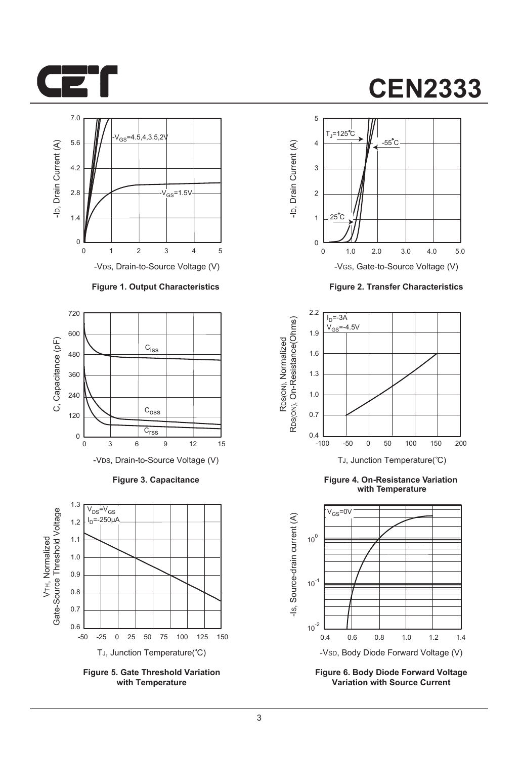



-VDS, Drain-to-Source Voltage (V)

#### **Figure 1. Output Characteristics**



**Figure 3. Capacitance**



**Figure 5. Gate Threshold Variation with Temperature**

## **CEN2333**



**Figure 2. Transfer Characteristics**



**Figure 4. On-Resistance Variation with Temperature**



**Figure 6. Body Diode Forward Voltage Variation with Source Current**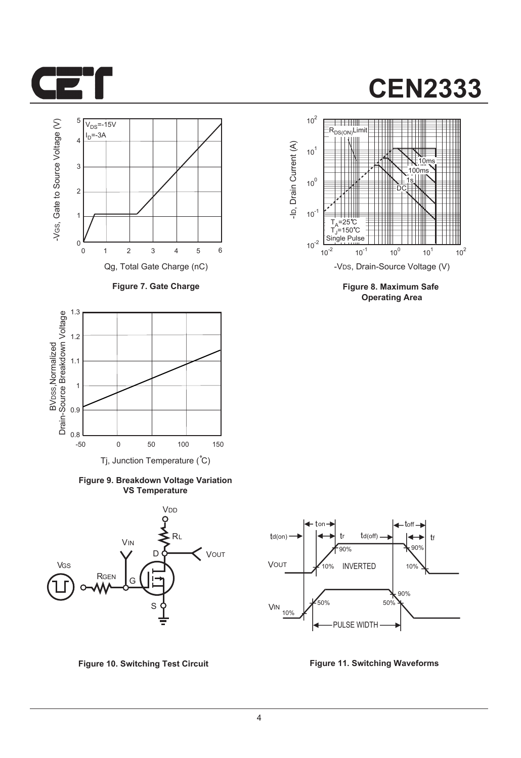



**Figure 7. Gate Charge**



**Figure 9. Breakdown Voltage Variation VS Temperature**





**Figure 8. Maximum Safe Operating Area**



**Figure 10. Switching Test Circuit Figure 11. Switching Waveforms**